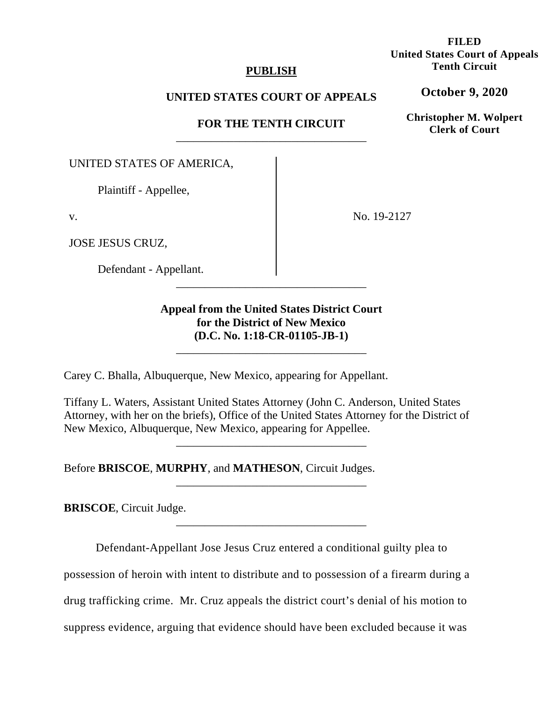## **PUBLISH**

## **UNITED STATES COURT OF APPEALS**

# **FOR THE TENTH CIRCUIT** \_\_\_\_\_\_\_\_\_\_\_\_\_\_\_\_\_\_\_\_\_\_\_\_\_\_\_\_\_\_\_\_\_

UNITED STATES OF AMERICA,

Plaintiff - Appellee,

v.

JOSE JESUS CRUZ,

Defendant - Appellant.

No. 19-2127

# **Appeal from the United States District Court for the District of New Mexico (D.C. No. 1:18-CR-01105-JB-1)**

\_\_\_\_\_\_\_\_\_\_\_\_\_\_\_\_\_\_\_\_\_\_\_\_\_\_\_\_\_\_\_\_\_

\_\_\_\_\_\_\_\_\_\_\_\_\_\_\_\_\_\_\_\_\_\_\_\_\_\_\_\_\_\_\_\_\_

Carey C. Bhalla, Albuquerque, New Mexico, appearing for Appellant.

Tiffany L. Waters, Assistant United States Attorney (John C. Anderson, United States Attorney, with her on the briefs), Office of the United States Attorney for the District of New Mexico, Albuquerque, New Mexico, appearing for Appellee.

\_\_\_\_\_\_\_\_\_\_\_\_\_\_\_\_\_\_\_\_\_\_\_\_\_\_\_\_\_\_\_\_\_

\_\_\_\_\_\_\_\_\_\_\_\_\_\_\_\_\_\_\_\_\_\_\_\_\_\_\_\_\_\_\_\_\_

Before **BRISCOE**, **MURPHY**, and **MATHESON**, Circuit Judges.

**BRISCOE**, Circuit Judge.

Defendant-Appellant Jose Jesus Cruz entered a conditional guilty plea to

\_\_\_\_\_\_\_\_\_\_\_\_\_\_\_\_\_\_\_\_\_\_\_\_\_\_\_\_\_\_\_\_\_

possession of heroin with intent to distribute and to possession of a firearm during a

drug trafficking crime. Mr. Cruz appeals the district court's denial of his motion to

suppress evidence, arguing that evidence should have been excluded because it was

# **FILED United States Court of Appeals Tenth Circuit**

**October 9, 2020**

**Christopher M. Wolpert Clerk of Court**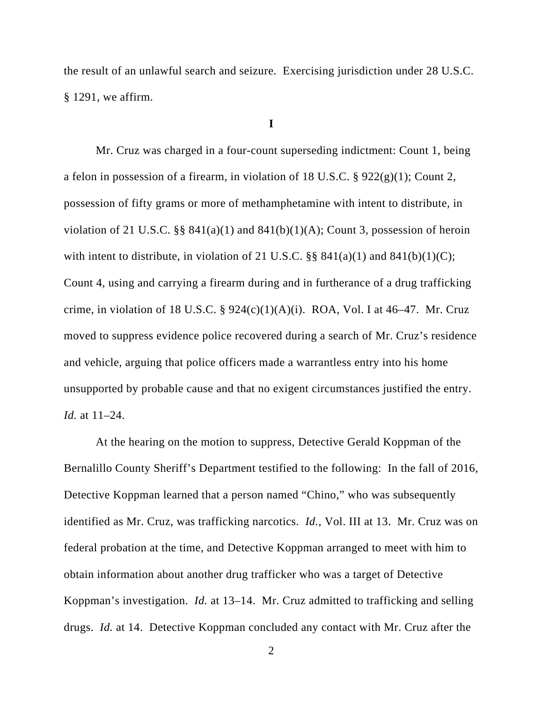the result of an unlawful search and seizure. Exercising jurisdiction under 28 U.S.C. § 1291, we affirm.

### **I**

Mr. Cruz was charged in a four-count superseding indictment: Count 1, being a felon in possession of a firearm, in violation of 18 U.S.C. § 922(g)(1); Count 2, possession of fifty grams or more of methamphetamine with intent to distribute, in violation of 21 U.S.C.  $\S$ § 841(a)(1) and 841(b)(1)(A); Count 3, possession of heroin with intent to distribute, in violation of 21 U.S.C.  $\S$  841(a)(1) and 841(b)(1)(C); Count 4, using and carrying a firearm during and in furtherance of a drug trafficking crime, in violation of 18 U.S.C. §  $924(c)(1)(A)(i)$ . ROA, Vol. I at 46–47. Mr. Cruz moved to suppress evidence police recovered during a search of Mr. Cruz's residence and vehicle, arguing that police officers made a warrantless entry into his home unsupported by probable cause and that no exigent circumstances justified the entry. *Id.* at 11–24.

At the hearing on the motion to suppress, Detective Gerald Koppman of the Bernalillo County Sheriff's Department testified to the following: In the fall of 2016, Detective Koppman learned that a person named "Chino," who was subsequently identified as Mr. Cruz, was trafficking narcotics. *Id.*, Vol. III at 13. Mr. Cruz was on federal probation at the time, and Detective Koppman arranged to meet with him to obtain information about another drug trafficker who was a target of Detective Koppman's investigation. *Id.* at 13–14. Mr. Cruz admitted to trafficking and selling drugs. *Id.* at 14. Detective Koppman concluded any contact with Mr. Cruz after the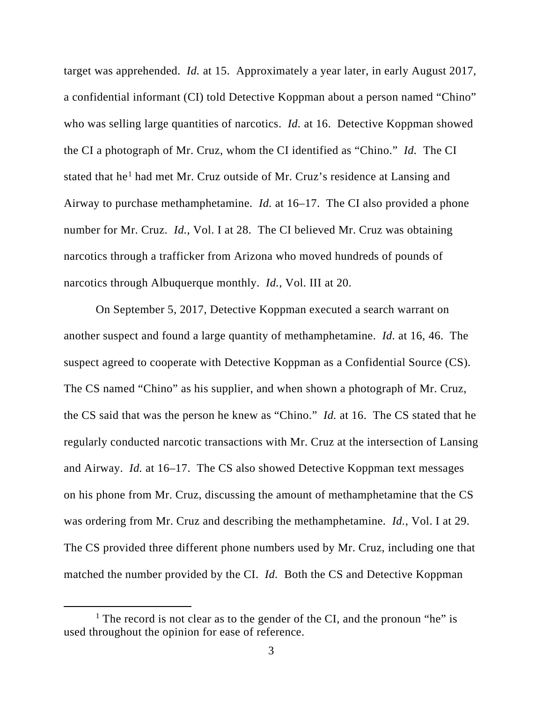target was apprehended. *Id.* at 15. Approximately a year later, in early August 2017, a confidential informant (CI) told Detective Koppman about a person named "Chino" who was selling large quantities of narcotics. *Id.* at 16. Detective Koppman showed the CI a photograph of Mr. Cruz, whom the CI identified as "Chino." *Id.* The CI stated that he<sup>[1](#page-2-0)</sup> had met Mr. Cruz outside of Mr. Cruz's residence at Lansing and Airway to purchase methamphetamine. *Id.* at 16–17. The CI also provided a phone number for Mr. Cruz. *Id.*, Vol. I at 28. The CI believed Mr. Cruz was obtaining narcotics through a trafficker from Arizona who moved hundreds of pounds of narcotics through Albuquerque monthly. *Id.*, Vol. III at 20.

On September 5, 2017, Detective Koppman executed a search warrant on another suspect and found a large quantity of methamphetamine. *Id.* at 16, 46. The suspect agreed to cooperate with Detective Koppman as a Confidential Source (CS). The CS named "Chino" as his supplier, and when shown a photograph of Mr. Cruz, the CS said that was the person he knew as "Chino." *Id.* at 16. The CS stated that he regularly conducted narcotic transactions with Mr. Cruz at the intersection of Lansing and Airway. *Id.* at 16–17. The CS also showed Detective Koppman text messages on his phone from Mr. Cruz, discussing the amount of methamphetamine that the CS was ordering from Mr. Cruz and describing the methamphetamine. *Id.*, Vol. I at 29. The CS provided three different phone numbers used by Mr. Cruz, including one that matched the number provided by the CI. *Id.* Both the CS and Detective Koppman

<span id="page-2-0"></span><sup>&</sup>lt;sup>1</sup> The record is not clear as to the gender of the CI, and the pronoun "he" is used throughout the opinion for ease of reference.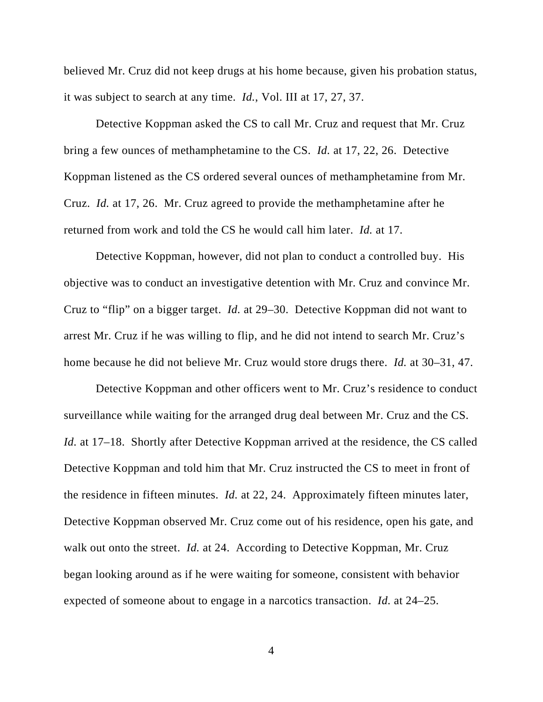believed Mr. Cruz did not keep drugs at his home because, given his probation status, it was subject to search at any time. *Id.*, Vol. III at 17, 27, 37.

Detective Koppman asked the CS to call Mr. Cruz and request that Mr. Cruz bring a few ounces of methamphetamine to the CS. *Id.* at 17, 22, 26. Detective Koppman listened as the CS ordered several ounces of methamphetamine from Mr. Cruz. *Id.* at 17, 26. Mr. Cruz agreed to provide the methamphetamine after he returned from work and told the CS he would call him later. *Id.* at 17.

Detective Koppman, however, did not plan to conduct a controlled buy. His objective was to conduct an investigative detention with Mr. Cruz and convince Mr. Cruz to "flip" on a bigger target. *Id.* at 29–30. Detective Koppman did not want to arrest Mr. Cruz if he was willing to flip, and he did not intend to search Mr. Cruz's home because he did not believe Mr. Cruz would store drugs there. *Id.* at 30–31, 47.

Detective Koppman and other officers went to Mr. Cruz's residence to conduct surveillance while waiting for the arranged drug deal between Mr. Cruz and the CS. *Id.* at 17–18. Shortly after Detective Koppman arrived at the residence, the CS called Detective Koppman and told him that Mr. Cruz instructed the CS to meet in front of the residence in fifteen minutes. *Id.* at 22, 24. Approximately fifteen minutes later, Detective Koppman observed Mr. Cruz come out of his residence, open his gate, and walk out onto the street. *Id.* at 24. According to Detective Koppman, Mr. Cruz began looking around as if he were waiting for someone, consistent with behavior expected of someone about to engage in a narcotics transaction. *Id.* at 24–25.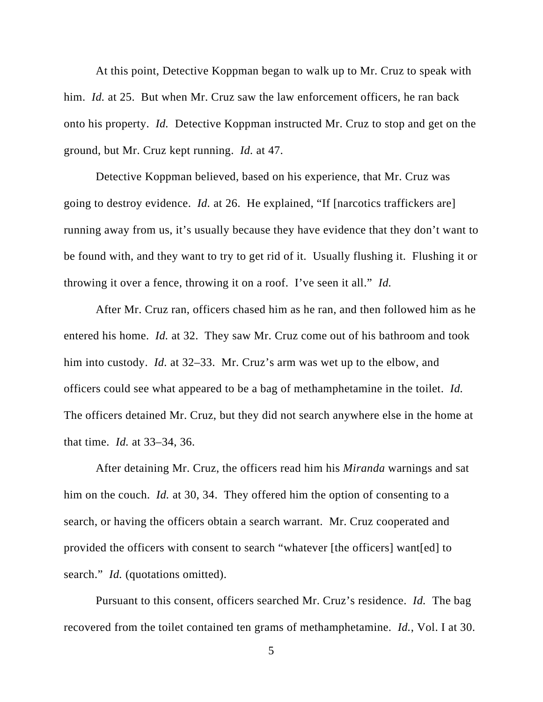At this point, Detective Koppman began to walk up to Mr. Cruz to speak with him. *Id.* at 25. But when Mr. Cruz saw the law enforcement officers, he ran back onto his property. *Id.* Detective Koppman instructed Mr. Cruz to stop and get on the ground, but Mr. Cruz kept running. *Id.* at 47.

Detective Koppman believed, based on his experience, that Mr. Cruz was going to destroy evidence. *Id.* at 26. He explained, "If [narcotics traffickers are] running away from us, it's usually because they have evidence that they don't want to be found with, and they want to try to get rid of it. Usually flushing it. Flushing it or throwing it over a fence, throwing it on a roof. I've seen it all." *Id.*

After Mr. Cruz ran, officers chased him as he ran, and then followed him as he entered his home. *Id.* at 32. They saw Mr. Cruz come out of his bathroom and took him into custody. *Id.* at 32–33. Mr. Cruz's arm was wet up to the elbow, and officers could see what appeared to be a bag of methamphetamine in the toilet. *Id.* The officers detained Mr. Cruz, but they did not search anywhere else in the home at that time. *Id.* at 33–34, 36.

After detaining Mr. Cruz, the officers read him his *Miranda* warnings and sat him on the couch. *Id.* at 30, 34. They offered him the option of consenting to a search, or having the officers obtain a search warrant. Mr. Cruz cooperated and provided the officers with consent to search "whatever [the officers] want[ed] to search." *Id.* (quotations omitted).

Pursuant to this consent, officers searched Mr. Cruz's residence. *Id.* The bag recovered from the toilet contained ten grams of methamphetamine. *Id.*, Vol. I at 30.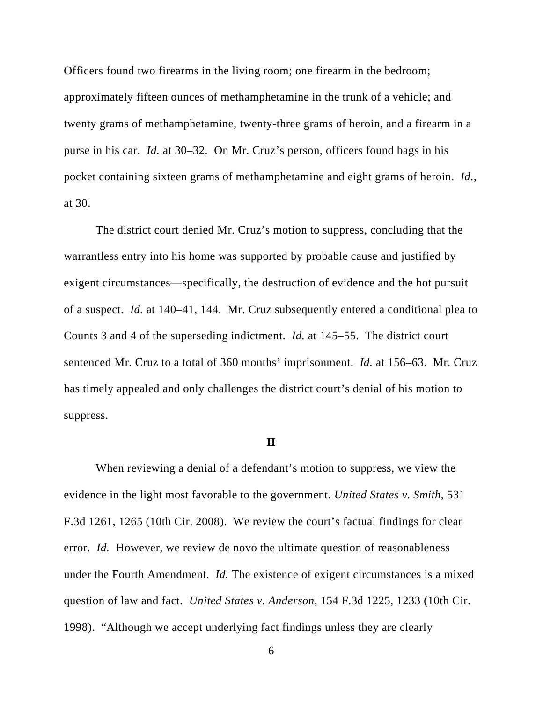Officers found two firearms in the living room; one firearm in the bedroom; approximately fifteen ounces of methamphetamine in the trunk of a vehicle; and twenty grams of methamphetamine, twenty-three grams of heroin, and a firearm in a purse in his car. *Id.* at 30–32. On Mr. Cruz's person, officers found bags in his pocket containing sixteen grams of methamphetamine and eight grams of heroin. *Id.*, at 30.

The district court denied Mr. Cruz's motion to suppress, concluding that the warrantless entry into his home was supported by probable cause and justified by exigent circumstances—specifically, the destruction of evidence and the hot pursuit of a suspect. *Id.* at 140–41, 144. Mr. Cruz subsequently entered a conditional plea to Counts 3 and 4 of the superseding indictment. *Id.* at 145–55. The district court sentenced Mr. Cruz to a total of 360 months' imprisonment. *Id.* at 156–63. Mr. Cruz has timely appealed and only challenges the district court's denial of his motion to suppress.

### **II**

When reviewing a denial of a defendant's motion to suppress, we view the evidence in the light most favorable to the government. *United States v. Smith*, 531 F.3d 1261, 1265 (10th Cir. 2008). We review the court's factual findings for clear error. *Id.* However, we review de novo the ultimate question of reasonableness under the Fourth Amendment. *Id.* The existence of exigent circumstances is a mixed question of law and fact. *United States v. Anderson*, 154 F.3d 1225, 1233 (10th Cir. 1998). "Although we accept underlying fact findings unless they are clearly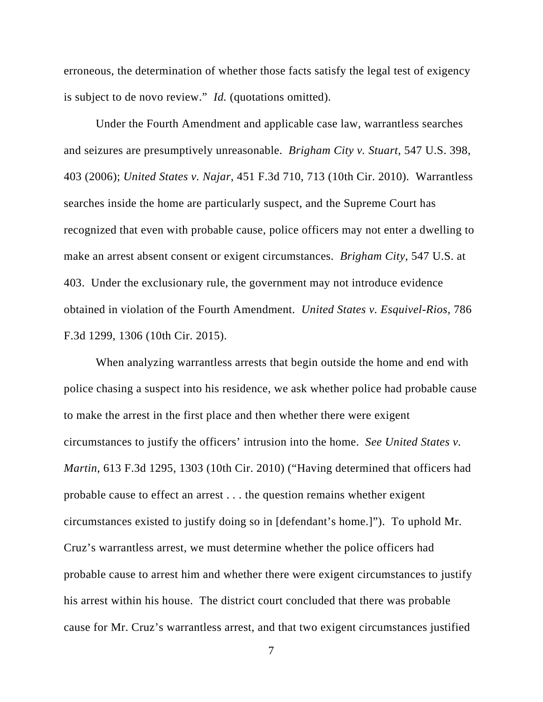erroneous, the determination of whether those facts satisfy the legal test of exigency is subject to de novo review." *Id.* (quotations omitted).

Under the Fourth Amendment and applicable case law, warrantless searches and seizures are presumptively unreasonable. *Brigham City v. Stuart*, 547 U.S. 398, 403 (2006); *United States v. Najar*, 451 F.3d 710, 713 (10th Cir. 2010). Warrantless searches inside the home are particularly suspect, and the Supreme Court has recognized that even with probable cause, police officers may not enter a dwelling to make an arrest absent consent or exigent circumstances. *Brigham City*, 547 U.S. at 403. Under the exclusionary rule, the government may not introduce evidence obtained in violation of the Fourth Amendment. *United States v. Esquivel-Rios*, 786 F.3d 1299, 1306 (10th Cir. 2015).

When analyzing warrantless arrests that begin outside the home and end with police chasing a suspect into his residence, we ask whether police had probable cause to make the arrest in the first place and then whether there were exigent circumstances to justify the officers' intrusion into the home. *See United States v. Martin*, 613 F.3d 1295, 1303 (10th Cir. 2010) ("Having determined that officers had probable cause to effect an arrest . . . the question remains whether exigent circumstances existed to justify doing so in [defendant's home.]"). To uphold Mr. Cruz's warrantless arrest, we must determine whether the police officers had probable cause to arrest him and whether there were exigent circumstances to justify his arrest within his house. The district court concluded that there was probable cause for Mr. Cruz's warrantless arrest, and that two exigent circumstances justified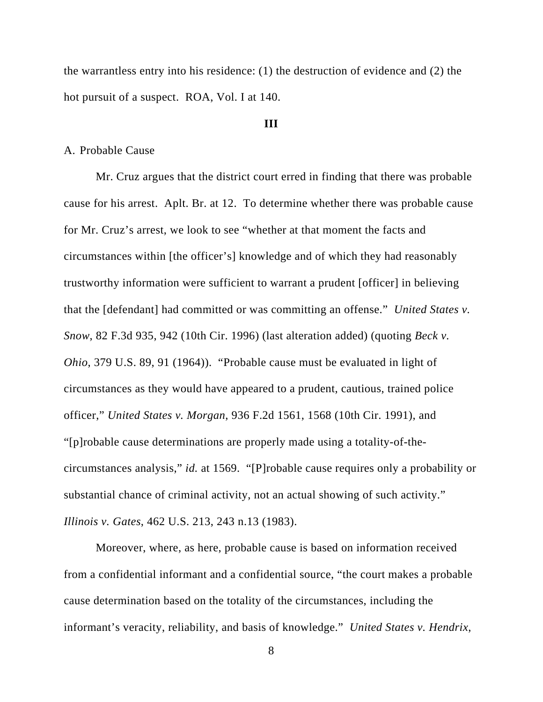the warrantless entry into his residence: (1) the destruction of evidence and (2) the hot pursuit of a suspect. ROA, Vol. I at 140.

### **III**

### A. Probable Cause

Mr. Cruz argues that the district court erred in finding that there was probable cause for his arrest. Aplt. Br. at 12. To determine whether there was probable cause for Mr. Cruz's arrest, we look to see "whether at that moment the facts and circumstances within [the officer's] knowledge and of which they had reasonably trustworthy information were sufficient to warrant a prudent [officer] in believing that the [defendant] had committed or was committing an offense." *United States v. Snow*, 82 F.3d 935, 942 (10th Cir. 1996) (last alteration added) (quoting *Beck v. Ohio*, 379 U.S. 89, 91 (1964)). "Probable cause must be evaluated in light of circumstances as they would have appeared to a prudent, cautious, trained police officer," *United States v. Morgan*, 936 F.2d 1561, 1568 (10th Cir. 1991), and "[p]robable cause determinations are properly made using a totality-of-thecircumstances analysis," *id.* at 1569. "[P]robable cause requires only a probability or substantial chance of criminal activity, not an actual showing of such activity." *Illinois v. Gates*, 462 U.S. 213, 243 n.13 (1983).

Moreover, where, as here, probable cause is based on information received from a confidential informant and a confidential source, "the court makes a probable cause determination based on the totality of the circumstances, including the informant's veracity, reliability, and basis of knowledge." *United States v. Hendrix*,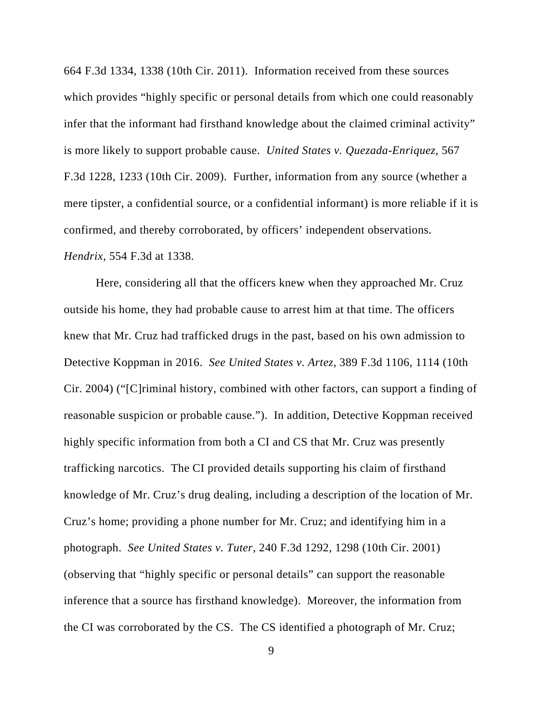664 F.3d 1334, 1338 (10th Cir. 2011). Information received from these sources which provides "highly specific or personal details from which one could reasonably infer that the informant had firsthand knowledge about the claimed criminal activity" is more likely to support probable cause. *United States v. Quezada-Enriquez*, 567 F.3d 1228, 1233 (10th Cir. 2009). Further, information from any source (whether a mere tipster, a confidential source, or a confidential informant) is more reliable if it is confirmed, and thereby corroborated, by officers' independent observations. *Hendrix*, 554 F.3d at 1338.

Here, considering all that the officers knew when they approached Mr. Cruz outside his home, they had probable cause to arrest him at that time. The officers knew that Mr. Cruz had trafficked drugs in the past, based on his own admission to Detective Koppman in 2016. *See United States v. Artez*, 389 F.3d 1106, 1114 (10th Cir. 2004) ("[C]riminal history, combined with other factors, can support a finding of reasonable suspicion or probable cause."). In addition, Detective Koppman received highly specific information from both a CI and CS that Mr. Cruz was presently trafficking narcotics. The CI provided details supporting his claim of firsthand knowledge of Mr. Cruz's drug dealing, including a description of the location of Mr. Cruz's home; providing a phone number for Mr. Cruz; and identifying him in a photograph. *See United States v. Tuter*, 240 F.3d 1292, 1298 (10th Cir. 2001) (observing that "highly specific or personal details" can support the reasonable inference that a source has firsthand knowledge). Moreover, the information from the CI was corroborated by the CS. The CS identified a photograph of Mr. Cruz;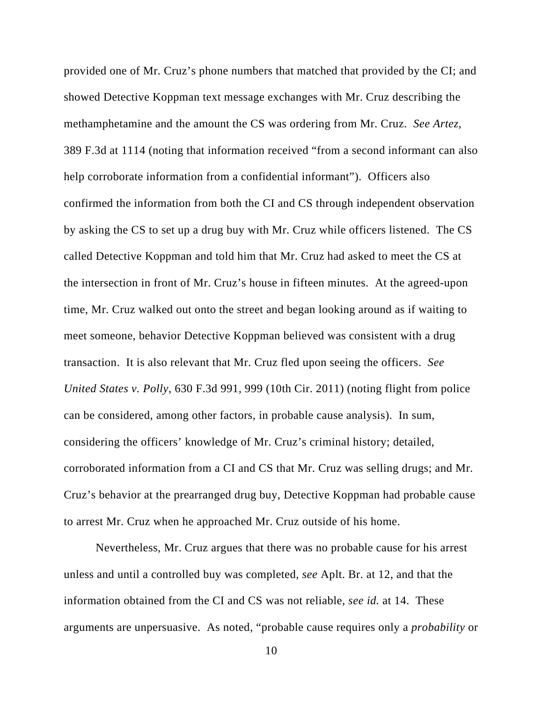provided one of Mr. Cruz's phone numbers that matched that provided by the CI; and showed Detective Koppman text message exchanges with Mr. Cruz describing the methamphetamine and the amount the CS was ordering from Mr. Cruz. *See Artez*, 389 F.3d at 1114 (noting that information received "from a second informant can also help corroborate information from a confidential informant"). Officers also confirmed the information from both the CI and CS through independent observation by asking the CS to set up a drug buy with Mr. Cruz while officers listened. The CS called Detective Koppman and told him that Mr. Cruz had asked to meet the CS at the intersection in front of Mr. Cruz's house in fifteen minutes. At the agreed-upon time, Mr. Cruz walked out onto the street and began looking around as if waiting to meet someone, behavior Detective Koppman believed was consistent with a drug transaction. It is also relevant that Mr. Cruz fled upon seeing the officers. *See United States v. Polly*, 630 F.3d 991, 999 (10th Cir. 2011) (noting flight from police can be considered, among other factors, in probable cause analysis). In sum, considering the officers' knowledge of Mr. Cruz's criminal history; detailed, corroborated information from a CI and CS that Mr. Cruz was selling drugs; and Mr. Cruz's behavior at the prearranged drug buy, Detective Koppman had probable cause to arrest Mr. Cruz when he approached Mr. Cruz outside of his home.

Nevertheless, Mr. Cruz argues that there was no probable cause for his arrest unless and until a controlled buy was completed, *see* Aplt. Br. at 12, and that the information obtained from the CI and CS was not reliable, *see id.* at 14. These arguments are unpersuasive. As noted, "probable cause requires only a *probability* or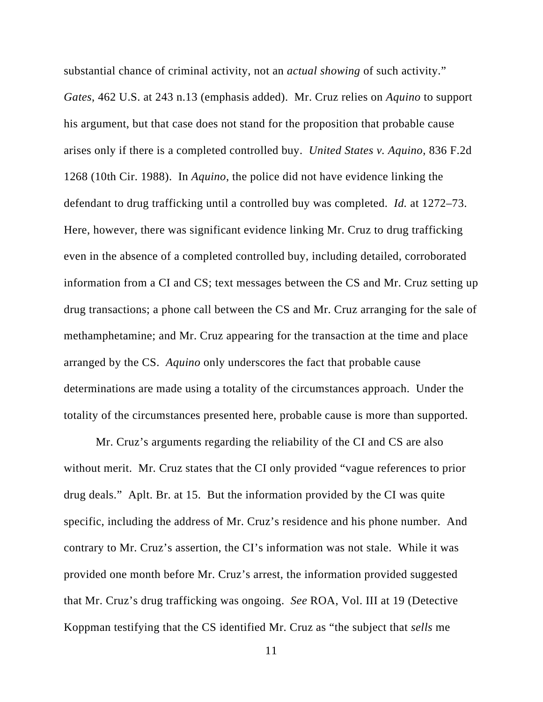substantial chance of criminal activity, not an *actual showing* of such activity." *Gates*, 462 U.S. at 243 n.13 (emphasis added). Mr. Cruz relies on *Aquino* to support his argument, but that case does not stand for the proposition that probable cause arises only if there is a completed controlled buy. *United States v. Aquino*, 836 F.2d 1268 (10th Cir. 1988). In *Aquino*, the police did not have evidence linking the defendant to drug trafficking until a controlled buy was completed. *Id.* at 1272–73. Here, however, there was significant evidence linking Mr. Cruz to drug trafficking even in the absence of a completed controlled buy, including detailed, corroborated information from a CI and CS; text messages between the CS and Mr. Cruz setting up drug transactions; a phone call between the CS and Mr. Cruz arranging for the sale of methamphetamine; and Mr. Cruz appearing for the transaction at the time and place arranged by the CS. *Aquino* only underscores the fact that probable cause determinations are made using a totality of the circumstances approach. Under the totality of the circumstances presented here, probable cause is more than supported.

Mr. Cruz's arguments regarding the reliability of the CI and CS are also without merit. Mr. Cruz states that the CI only provided "vague references to prior drug deals." Aplt. Br. at 15. But the information provided by the CI was quite specific, including the address of Mr. Cruz's residence and his phone number. And contrary to Mr. Cruz's assertion, the CI's information was not stale. While it was provided one month before Mr. Cruz's arrest, the information provided suggested that Mr. Cruz's drug trafficking was ongoing. *See* ROA, Vol. III at 19 (Detective Koppman testifying that the CS identified Mr. Cruz as "the subject that *sells* me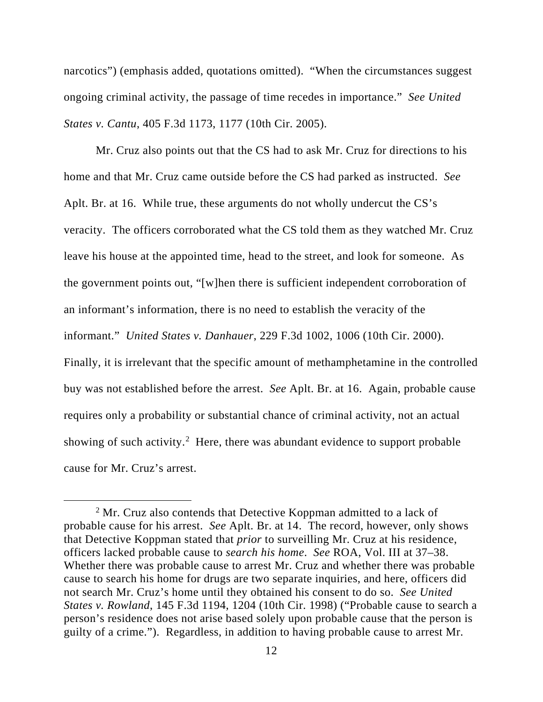narcotics") (emphasis added, quotations omitted). "When the circumstances suggest ongoing criminal activity, the passage of time recedes in importance." *See United States v. Cantu*, 405 F.3d 1173, 1177 (10th Cir. 2005).

Mr. Cruz also points out that the CS had to ask Mr. Cruz for directions to his home and that Mr. Cruz came outside before the CS had parked as instructed. *See* Aplt. Br. at 16. While true, these arguments do not wholly undercut the CS's veracity. The officers corroborated what the CS told them as they watched Mr. Cruz leave his house at the appointed time, head to the street, and look for someone. As the government points out, "[w]hen there is sufficient independent corroboration of an informant's information, there is no need to establish the veracity of the informant." *United States v. Danhauer*, 229 F.3d 1002, 1006 (10th Cir. 2000). Finally, it is irrelevant that the specific amount of methamphetamine in the controlled buy was not established before the arrest. *See* Aplt. Br. at 16. Again, probable cause requires only a probability or substantial chance of criminal activity, not an actual showing of such activity.<sup>[2](#page-11-0)</sup> Here, there was abundant evidence to support probable cause for Mr. Cruz's arrest.

<span id="page-11-0"></span> $2<sup>2</sup>$  Mr. Cruz also contends that Detective Koppman admitted to a lack of probable cause for his arrest. *See* Aplt. Br. at 14. The record, however, only shows that Detective Koppman stated that *prior* to surveilling Mr. Cruz at his residence, officers lacked probable cause to *search his home*. *See* ROA, Vol. III at 37–38. Whether there was probable cause to arrest Mr. Cruz and whether there was probable cause to search his home for drugs are two separate inquiries, and here, officers did not search Mr. Cruz's home until they obtained his consent to do so. *See United States v. Rowland*, 145 F.3d 1194, 1204 (10th Cir. 1998) ("Probable cause to search a person's residence does not arise based solely upon probable cause that the person is guilty of a crime."). Regardless, in addition to having probable cause to arrest Mr.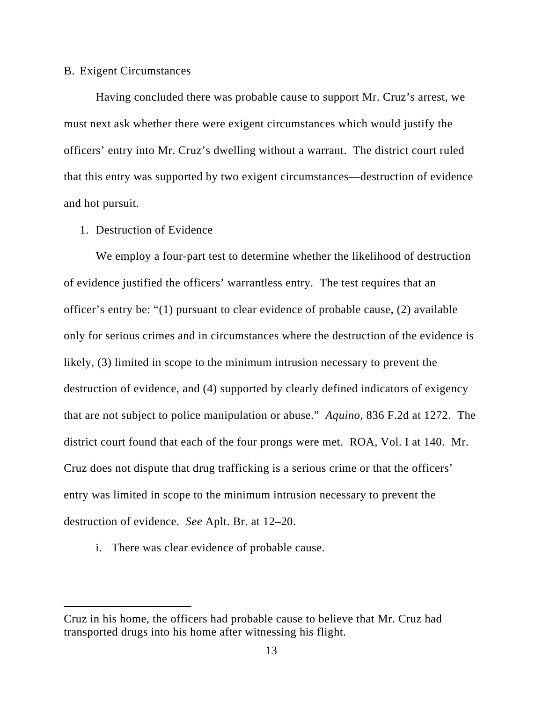### B. Exigent Circumstances

Having concluded there was probable cause to support Mr. Cruz's arrest, we must next ask whether there were exigent circumstances which would justify the officers' entry into Mr. Cruz's dwelling without a warrant. The district court ruled that this entry was supported by two exigent circumstances—destruction of evidence and hot pursuit.

# 1. Destruction of Evidence

We employ a four-part test to determine whether the likelihood of destruction of evidence justified the officers' warrantless entry. The test requires that an officer's entry be: "(1) pursuant to clear evidence of probable cause, (2) available only for serious crimes and in circumstances where the destruction of the evidence is likely, (3) limited in scope to the minimum intrusion necessary to prevent the destruction of evidence, and (4) supported by clearly defined indicators of exigency that are not subject to police manipulation or abuse." *Aquino*, 836 F.2d at 1272. The district court found that each of the four prongs were met. ROA, Vol. I at 140. Mr. Cruz does not dispute that drug trafficking is a serious crime or that the officers' entry was limited in scope to the minimum intrusion necessary to prevent the destruction of evidence. *See* Aplt. Br. at 12–20.

i. There was clear evidence of probable cause.

Cruz in his home, the officers had probable cause to believe that Mr. Cruz had transported drugs into his home after witnessing his flight.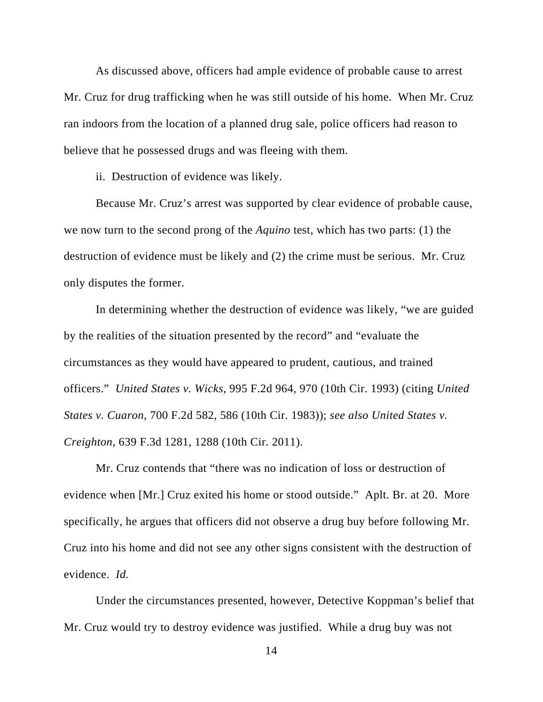As discussed above, officers had ample evidence of probable cause to arrest Mr. Cruz for drug trafficking when he was still outside of his home. When Mr. Cruz ran indoors from the location of a planned drug sale, police officers had reason to believe that he possessed drugs and was fleeing with them.

ii. Destruction of evidence was likely.

Because Mr. Cruz's arrest was supported by clear evidence of probable cause, we now turn to the second prong of the *Aquino* test, which has two parts: (1) the destruction of evidence must be likely and (2) the crime must be serious. Mr. Cruz only disputes the former.

In determining whether the destruction of evidence was likely, "we are guided by the realities of the situation presented by the record" and "evaluate the circumstances as they would have appeared to prudent, cautious, and trained officers." *United States v. Wicks*, 995 F.2d 964, 970 (10th Cir. 1993) (citing *United States v. Cuaron*, 700 F.2d 582, 586 (10th Cir. 1983)); *see also United States v. Creighton*, 639 F.3d 1281, 1288 (10th Cir. 2011).

Mr. Cruz contends that "there was no indication of loss or destruction of evidence when [Mr.] Cruz exited his home or stood outside." Aplt. Br. at 20. More specifically, he argues that officers did not observe a drug buy before following Mr. Cruz into his home and did not see any other signs consistent with the destruction of evidence. *Id.*

Under the circumstances presented, however, Detective Koppman's belief that Mr. Cruz would try to destroy evidence was justified. While a drug buy was not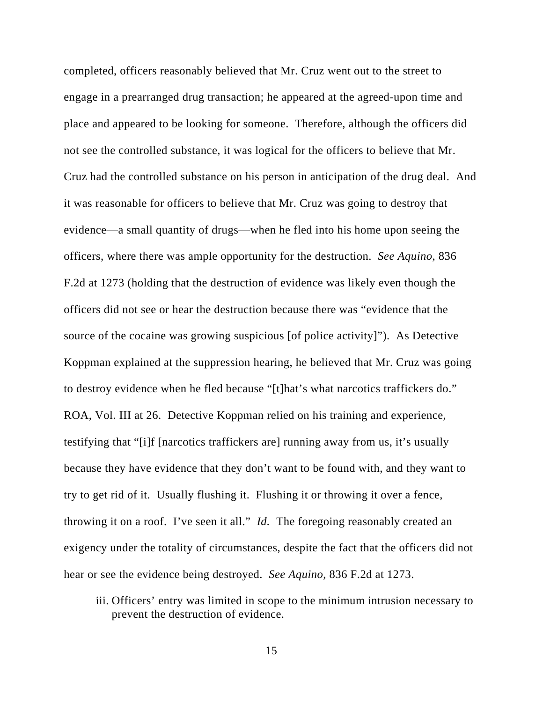completed, officers reasonably believed that Mr. Cruz went out to the street to engage in a prearranged drug transaction; he appeared at the agreed-upon time and place and appeared to be looking for someone. Therefore, although the officers did not see the controlled substance, it was logical for the officers to believe that Mr. Cruz had the controlled substance on his person in anticipation of the drug deal. And it was reasonable for officers to believe that Mr. Cruz was going to destroy that evidence—a small quantity of drugs—when he fled into his home upon seeing the officers, where there was ample opportunity for the destruction. *See Aquino*, 836 F.2d at 1273 (holding that the destruction of evidence was likely even though the officers did not see or hear the destruction because there was "evidence that the source of the cocaine was growing suspicious [of police activity]"). As Detective Koppman explained at the suppression hearing, he believed that Mr. Cruz was going to destroy evidence when he fled because "[t]hat's what narcotics traffickers do." ROA, Vol. III at 26. Detective Koppman relied on his training and experience, testifying that "[i]f [narcotics traffickers are] running away from us, it's usually because they have evidence that they don't want to be found with, and they want to try to get rid of it. Usually flushing it. Flushing it or throwing it over a fence, throwing it on a roof. I've seen it all." *Id.* The foregoing reasonably created an exigency under the totality of circumstances, despite the fact that the officers did not hear or see the evidence being destroyed. *See Aquino*, 836 F.2d at 1273.

iii. Officers' entry was limited in scope to the minimum intrusion necessary to prevent the destruction of evidence.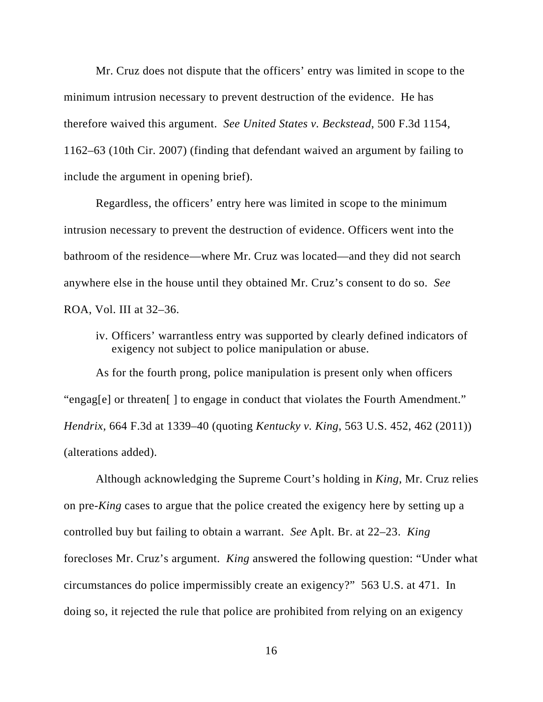Mr. Cruz does not dispute that the officers' entry was limited in scope to the minimum intrusion necessary to prevent destruction of the evidence. He has therefore waived this argument. *See United States v. Beckstead*, 500 F.3d 1154, 1162–63 (10th Cir. 2007) (finding that defendant waived an argument by failing to include the argument in opening brief).

Regardless, the officers' entry here was limited in scope to the minimum intrusion necessary to prevent the destruction of evidence. Officers went into the bathroom of the residence—where Mr. Cruz was located—and they did not search anywhere else in the house until they obtained Mr. Cruz's consent to do so. *See* ROA, Vol. III at 32–36.

iv. Officers' warrantless entry was supported by clearly defined indicators of exigency not subject to police manipulation or abuse.

As for the fourth prong, police manipulation is present only when officers "engag[e] or threaten[ ] to engage in conduct that violates the Fourth Amendment." *Hendrix*, 664 F.3d at 1339–40 (quoting *Kentucky v. King*, 563 U.S. 452, 462 (2011)) (alterations added).

Although acknowledging the Supreme Court's holding in *King*, Mr. Cruz relies on pre-*King* cases to argue that the police created the exigency here by setting up a controlled buy but failing to obtain a warrant. *See* Aplt. Br. at 22–23. *King*  forecloses Mr. Cruz's argument. *King* answered the following question: "Under what circumstances do police impermissibly create an exigency?" 563 U.S. at 471. In doing so, it rejected the rule that police are prohibited from relying on an exigency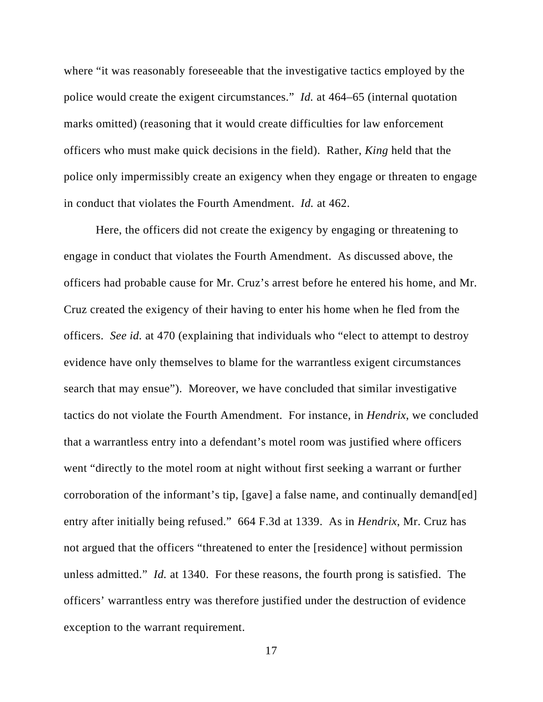where "it was reasonably foreseeable that the investigative tactics employed by the police would create the exigent circumstances." *Id.* at 464–65 (internal quotation marks omitted) (reasoning that it would create difficulties for law enforcement officers who must make quick decisions in the field). Rather, *King* held that the police only impermissibly create an exigency when they engage or threaten to engage in conduct that violates the Fourth Amendment. *Id.* at 462.

Here, the officers did not create the exigency by engaging or threatening to engage in conduct that violates the Fourth Amendment. As discussed above, the officers had probable cause for Mr. Cruz's arrest before he entered his home, and Mr. Cruz created the exigency of their having to enter his home when he fled from the officers. *See id.* at 470 (explaining that individuals who "elect to attempt to destroy evidence have only themselves to blame for the warrantless exigent circumstances search that may ensue"). Moreover, we have concluded that similar investigative tactics do not violate the Fourth Amendment. For instance, in *Hendrix*, we concluded that a warrantless entry into a defendant's motel room was justified where officers went "directly to the motel room at night without first seeking a warrant or further corroboration of the informant's tip, [gave] a false name, and continually demand[ed] entry after initially being refused." 664 F.3d at 1339. As in *Hendrix*, Mr. Cruz has not argued that the officers "threatened to enter the [residence] without permission unless admitted." *Id.* at 1340. For these reasons, the fourth prong is satisfied. The officers' warrantless entry was therefore justified under the destruction of evidence exception to the warrant requirement.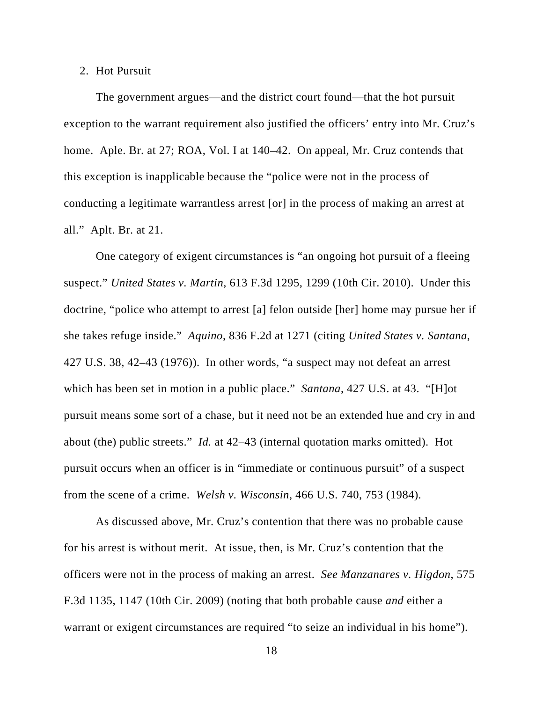#### 2. Hot Pursuit

The government argues—and the district court found—that the hot pursuit exception to the warrant requirement also justified the officers' entry into Mr. Cruz's home. Aple. Br. at 27; ROA, Vol. I at 140–42. On appeal, Mr. Cruz contends that this exception is inapplicable because the "police were not in the process of conducting a legitimate warrantless arrest [or] in the process of making an arrest at all." Aplt. Br. at 21.

One category of exigent circumstances is "an ongoing hot pursuit of a fleeing suspect." *United States v. Martin*, 613 F.3d 1295, 1299 (10th Cir. 2010). Under this doctrine, "police who attempt to arrest [a] felon outside [her] home may pursue her if she takes refuge inside." *Aquino*, 836 F.2d at 1271 (citing *United States v. Santana*, 427 U.S. 38, 42–43 (1976)). In other words, "a suspect may not defeat an arrest which has been set in motion in a public place." *Santana*, 427 U.S. at 43. "[H]ot pursuit means some sort of a chase, but it need not be an extended hue and cry in and about (the) public streets." *Id.* at 42–43 (internal quotation marks omitted). Hot pursuit occurs when an officer is in "immediate or continuous pursuit" of a suspect from the scene of a crime. *Welsh v. Wisconsin*, 466 U.S. 740, 753 (1984).

As discussed above, Mr. Cruz's contention that there was no probable cause for his arrest is without merit. At issue, then, is Mr. Cruz's contention that the officers were not in the process of making an arrest. *See Manzanares v. Higdon*, 575 F.3d 1135, 1147 (10th Cir. 2009) (noting that both probable cause *and* either a warrant or exigent circumstances are required "to seize an individual in his home").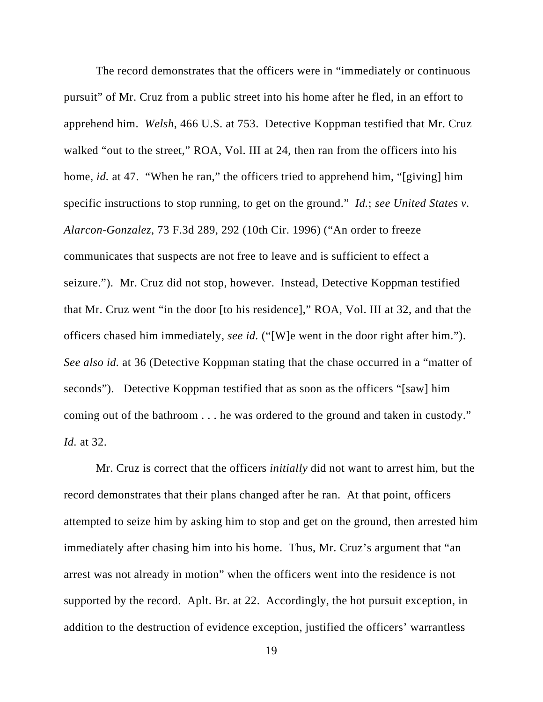The record demonstrates that the officers were in "immediately or continuous pursuit" of Mr. Cruz from a public street into his home after he fled, in an effort to apprehend him. *Welsh*, 466 U.S. at 753. Detective Koppman testified that Mr. Cruz walked "out to the street," ROA, Vol. III at 24, then ran from the officers into his home, *id.* at 47. "When he ran," the officers tried to apprehend him, "[giving] him specific instructions to stop running, to get on the ground." *Id.*; *see United States v. Alarcon-Gonzalez*, 73 F.3d 289, 292 (10th Cir. 1996) ("An order to freeze communicates that suspects are not free to leave and is sufficient to effect a seizure."). Mr. Cruz did not stop, however. Instead, Detective Koppman testified that Mr. Cruz went "in the door [to his residence]," ROA, Vol. III at 32, and that the officers chased him immediately, *see id.* ("[W]e went in the door right after him."). *See also id.* at 36 (Detective Koppman stating that the chase occurred in a "matter of seconds"). Detective Koppman testified that as soon as the officers "[saw] him coming out of the bathroom . . . he was ordered to the ground and taken in custody." *Id.* at 32.

Mr. Cruz is correct that the officers *initially* did not want to arrest him, but the record demonstrates that their plans changed after he ran. At that point, officers attempted to seize him by asking him to stop and get on the ground, then arrested him immediately after chasing him into his home. Thus, Mr. Cruz's argument that "an arrest was not already in motion" when the officers went into the residence is not supported by the record. Aplt. Br. at 22. Accordingly, the hot pursuit exception, in addition to the destruction of evidence exception, justified the officers' warrantless